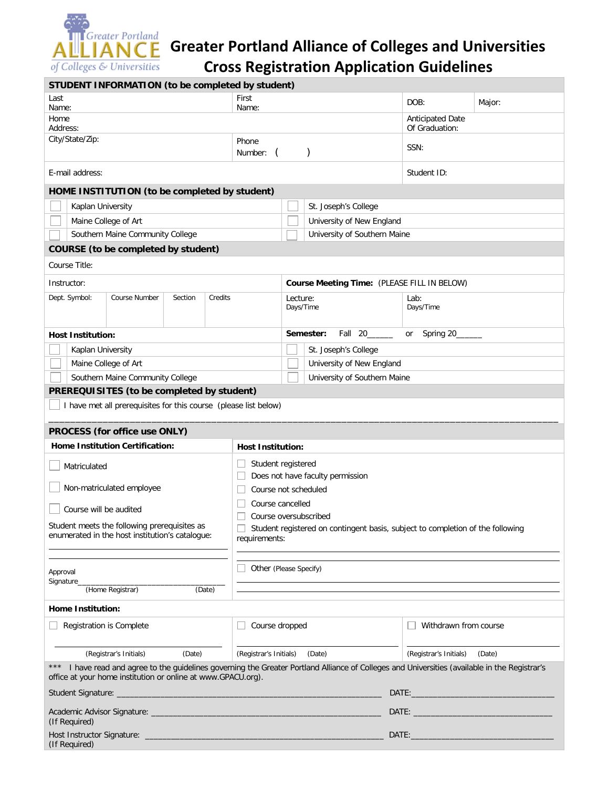

# **Greater Portland Alliance of Colleges and Universities**

| of Colleges & Universities                       | <b>Cross Registration Application Guidelines</b> |      |        |
|--------------------------------------------------|--------------------------------------------------|------|--------|
| STUDENT INFORMATION (to be completed by student) |                                                  |      |        |
| Last<br>Nomen.                                   | First<br>Nomen.                                  | DOB: | Maior: |

| Last<br>Name:                    |                                                                                                 |         | First<br>Name: |                                                                                                                      |                                             |                              |                                  | DOB:           | Major:                                                                         |                                                                                                                                            |  |
|----------------------------------|-------------------------------------------------------------------------------------------------|---------|----------------|----------------------------------------------------------------------------------------------------------------------|---------------------------------------------|------------------------------|----------------------------------|----------------|--------------------------------------------------------------------------------|--------------------------------------------------------------------------------------------------------------------------------------------|--|
| Home                             |                                                                                                 |         |                |                                                                                                                      |                                             |                              | Anticipated Date                 |                |                                                                                |                                                                                                                                            |  |
| Address:<br>City/State/Zip:      |                                                                                                 |         |                |                                                                                                                      |                                             |                              |                                  | Of Graduation: |                                                                                |                                                                                                                                            |  |
|                                  |                                                                                                 |         |                | Phone<br>Number: (                                                                                                   |                                             |                              |                                  |                | SSN:                                                                           |                                                                                                                                            |  |
| E-mail address:                  |                                                                                                 |         |                |                                                                                                                      |                                             |                              |                                  |                | Student ID:                                                                    |                                                                                                                                            |  |
|                                  | HOME INSTITUTION (to be completed by student)                                                   |         |                |                                                                                                                      |                                             |                              |                                  |                |                                                                                |                                                                                                                                            |  |
| Kaplan University                |                                                                                                 |         |                |                                                                                                                      |                                             | St. Joseph's College         |                                  |                |                                                                                |                                                                                                                                            |  |
| Maine College of Art             |                                                                                                 |         |                |                                                                                                                      | University of New England                   |                              |                                  |                |                                                                                |                                                                                                                                            |  |
| Southern Maine Community College |                                                                                                 |         |                |                                                                                                                      |                                             | University of Southern Maine |                                  |                |                                                                                |                                                                                                                                            |  |
|                                  | <b>COURSE</b> (to be completed by student)                                                      |         |                |                                                                                                                      |                                             |                              |                                  |                |                                                                                |                                                                                                                                            |  |
| Course Title:                    |                                                                                                 |         |                |                                                                                                                      |                                             |                              |                                  |                |                                                                                |                                                                                                                                            |  |
| Instructor:                      |                                                                                                 |         |                |                                                                                                                      | Course Meeting Time: (PLEASE FILL IN BELOW) |                              |                                  |                |                                                                                |                                                                                                                                            |  |
| Dept. Symbol:                    | Course Number                                                                                   | Section | Credits        |                                                                                                                      |                                             | Lecture:<br>Days/Time        |                                  |                | Lab:<br>Days/Time                                                              |                                                                                                                                            |  |
| <b>Host Institution:</b>         |                                                                                                 |         |                |                                                                                                                      |                                             | Semester:                    | Fall 20                          |                | Spring 20<br>or                                                                |                                                                                                                                            |  |
| Kaplan University                |                                                                                                 |         |                |                                                                                                                      |                                             |                              | St. Joseph's College             |                |                                                                                |                                                                                                                                            |  |
|                                  | Maine College of Art                                                                            |         |                |                                                                                                                      |                                             |                              | University of New England        |                |                                                                                |                                                                                                                                            |  |
|                                  | Southern Maine Community College                                                                |         |                |                                                                                                                      |                                             | University of Southern Maine |                                  |                |                                                                                |                                                                                                                                            |  |
|                                  | PREREQUISITES (to be completed by student)                                                      |         |                |                                                                                                                      |                                             |                              |                                  |                |                                                                                |                                                                                                                                            |  |
|                                  | I have met all prerequisites for this course (please list below)                                |         |                |                                                                                                                      |                                             |                              |                                  |                |                                                                                |                                                                                                                                            |  |
|                                  |                                                                                                 |         |                |                                                                                                                      |                                             |                              |                                  |                |                                                                                |                                                                                                                                            |  |
|                                  | PROCESS (for office use ONLY)                                                                   |         |                |                                                                                                                      |                                             |                              |                                  |                |                                                                                |                                                                                                                                            |  |
|                                  | Home Institution Certification:                                                                 |         |                | <b>Host Institution:</b>                                                                                             |                                             |                              |                                  |                |                                                                                |                                                                                                                                            |  |
| Matriculated                     |                                                                                                 |         |                | Student registered<br>$\mathbf{1}$                                                                                   |                                             |                              |                                  |                |                                                                                |                                                                                                                                            |  |
|                                  | Non-matriculated employee                                                                       |         |                | Course not scheduled                                                                                                 |                                             |                              | Does not have faculty permission |                |                                                                                |                                                                                                                                            |  |
|                                  | Course will be audited                                                                          |         |                | Course cancelled                                                                                                     |                                             |                              |                                  |                |                                                                                |                                                                                                                                            |  |
|                                  |                                                                                                 |         |                | Course oversubscribed                                                                                                |                                             |                              |                                  |                |                                                                                |                                                                                                                                            |  |
|                                  | Student meets the following prerequisites as<br>enumerated in the host institution's catalogue: |         |                | requirements:                                                                                                        |                                             |                              |                                  |                | Student registered on contingent basis, subject to completion of the following |                                                                                                                                            |  |
|                                  |                                                                                                 |         |                |                                                                                                                      |                                             |                              |                                  |                |                                                                                |                                                                                                                                            |  |
| Approval<br>Signature            |                                                                                                 |         |                | Other (Please Specify)                                                                                               |                                             |                              |                                  |                |                                                                                |                                                                                                                                            |  |
|                                  | (Home Registrar)                                                                                |         | (Date)         |                                                                                                                      |                                             |                              |                                  |                |                                                                                |                                                                                                                                            |  |
| <b>Home Institution:</b>         |                                                                                                 |         |                |                                                                                                                      |                                             |                              |                                  |                |                                                                                |                                                                                                                                            |  |
|                                  | <b>Registration is Complete</b>                                                                 |         |                | Course dropped                                                                                                       |                                             |                              |                                  |                | Withdrawn from course                                                          |                                                                                                                                            |  |
|                                  | (Registrar's Initials)                                                                          | (Date)  |                | (Registrar's Initials)                                                                                               |                                             | (Date)                       |                                  |                | (Registrar's Initials)                                                         | (Date)                                                                                                                                     |  |
| $***$                            | office at your home institution or online at www.GPACU.org).                                    |         |                |                                                                                                                      |                                             |                              |                                  |                |                                                                                | I have read and agree to the guidelines governing the Greater Portland Alliance of Colleges and Universities (available in the Registrar's |  |
|                                  |                                                                                                 |         |                |                                                                                                                      |                                             |                              |                                  |                |                                                                                |                                                                                                                                            |  |
| (If Required)                    | Academic Advisor Signature: _                                                                   |         |                | <u> 1989 - Johann Barn, mars ann an t-Amhain Aonaich an t-Aonaich an t-Aonaich ann an t-Aonaich ann an t-Aonaich</u> |                                             |                              |                                  |                |                                                                                |                                                                                                                                            |  |